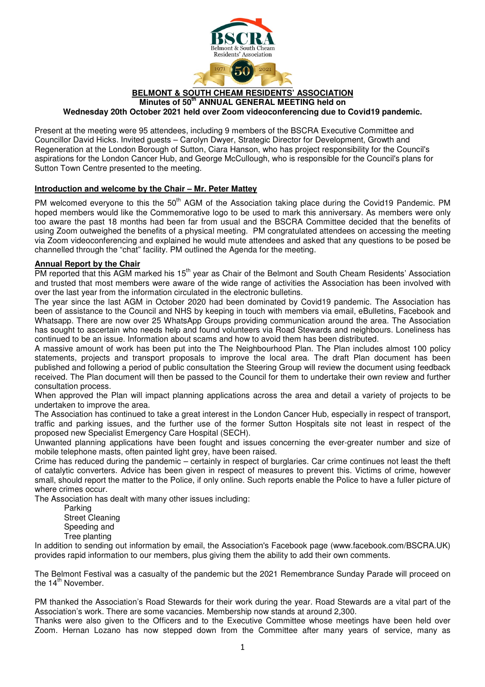

**BELMONT & SOUTH CHEAM RESIDENTS' ASSOCIATION Minutes of 50th ANNUAL GENERAL MEETING held on Wednesday 20th October 2021 held over Zoom videoconferencing due to Covid19 pandemic.** 

Present at the meeting were 95 attendees, including 9 members of the BSCRA Executive Committee and Councillor David Hicks. Invited guests – Carolyn Dwyer, Strategic Director for Development, Growth and Regeneration at the London Borough of Sutton, Ciara Hanson, who has project responsibility for the Council's aspirations for the London Cancer Hub, and George McCullough, who is responsible for the Council's plans for Sutton Town Centre presented to the meeting.

#### **Introduction and welcome by the Chair – Mr. Peter Mattey**

PM welcomed everyone to this the 50<sup>th</sup> AGM of the Association taking place during the Covid19 Pandemic. PM hoped members would like the Commemorative logo to be used to mark this anniversary. As members were only too aware the past 18 months had been far from usual and the BSCRA Committee decided that the benefits of using Zoom outweighed the benefits of a physical meeting. PM congratulated attendees on accessing the meeting via Zoom videoconferencing and explained he would mute attendees and asked that any questions to be posed be channelled through the "chat" facility. PM outlined the Agenda for the meeting.

#### **Annual Report by the Chair**

PM reported that this AGM marked his 15<sup>th</sup> year as Chair of the Belmont and South Cheam Residents' Association and trusted that most members were aware of the wide range of activities the Association has been involved with over the last year from the information circulated in the electronic bulletins.

The year since the last AGM in October 2020 had been dominated by Covid19 pandemic. The Association has been of assistance to the Council and NHS by keeping in touch with members via email, eBulletins, Facebook and Whatsapp. There are now over 25 WhatsApp Groups providing communication around the area. The Association has sought to ascertain who needs help and found volunteers via Road Stewards and neighbours. Loneliness has continued to be an issue. Information about scams and how to avoid them has been distributed.

A massive amount of work has been put into the The Neighbourhood Plan. The Plan includes almost 100 policy statements, projects and transport proposals to improve the local area. The draft Plan document has been published and following a period of public consultation the Steering Group will review the document using feedback received. The Plan document will then be passed to the Council for them to undertake their own review and further consultation process.

When approved the Plan will impact planning applications across the area and detail a variety of projects to be undertaken to improve the area.

The Association has continued to take a great interest in the London Cancer Hub, especially in respect of transport, traffic and parking issues, and the further use of the former Sutton Hospitals site not least in respect of the proposed new Specialist Emergency Care Hospital (SECH).

Unwanted planning applications have been fought and issues concerning the ever-greater number and size of mobile telephone masts, often painted light grey, have been raised.

Crime has reduced during the pandemic – certainly in respect of burglaries. Car crime continues not least the theft of catalytic converters. Advice has been given in respect of measures to prevent this. Victims of crime, however small, should report the matter to the Police, if only online. Such reports enable the Police to have a fuller picture of where crimes occur.

The Association has dealt with many other issues including:

 Parking Street Cleaning Speeding and Tree planting

In addition to sending out information by email, the Association's Facebook page (www.facebook.com/BSCRA.UK) provides rapid information to our members, plus giving them the ability to add their own comments.

The Belmont Festival was a casualty of the pandemic but the 2021 Remembrance Sunday Parade will proceed on the 14<sup>th</sup> November.

PM thanked the Association's Road Stewards for their work during the year. Road Stewards are a vital part of the Association's work. There are some vacancies. Membership now stands at around 2,300.

Thanks were also given to the Officers and to the Executive Committee whose meetings have been held over Zoom. Hernan Lozano has now stepped down from the Committee after many years of service, many as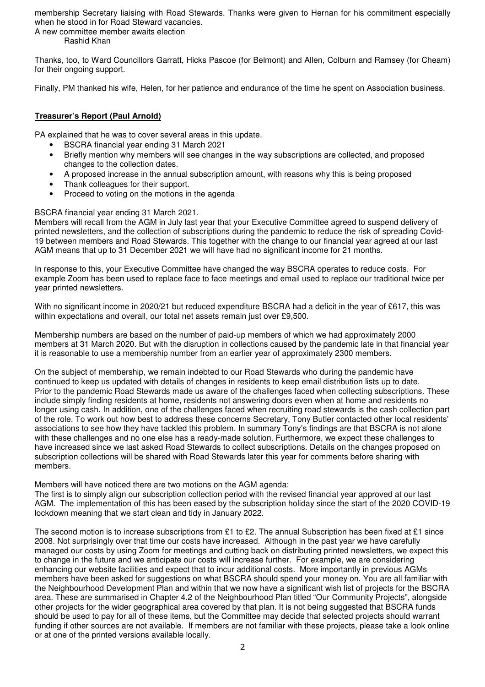membership Secretary liaising with Road Stewards. Thanks were given to Hernan for his commitment especially when he stood in for Road Steward vacancies.

A new committee member awaits election Rashid Khan

Thanks, too, to Ward Councillors Garratt, Hicks Pascoe (for Belmont) and Allen, Colburn and Ramsey (for Cheam) for their ongoing support.

Finally, PM thanked his wife, Helen, for her patience and endurance of the time he spent on Association business.

## **Treasurer's Report (Paul Arnold)**

PA explained that he was to cover several areas in this update.

- BSCRA financial year ending 31 March 2021
- Briefly mention why members will see changes in the way subscriptions are collected, and proposed changes to the collection dates.
- A proposed increase in the annual subscription amount, with reasons why this is being proposed
- Thank colleagues for their support.
- Proceed to voting on the motions in the agenda

#### BSCRA financial year ending 31 March 2021.

Members will recall from the AGM in July last year that your Executive Committee agreed to suspend delivery of printed newsletters, and the collection of subscriptions during the pandemic to reduce the risk of spreading Covid-19 between members and Road Stewards. This together with the change to our financial year agreed at our last AGM means that up to 31 December 2021 we will have had no significant income for 21 months.

In response to this, your Executive Committee have changed the way BSCRA operates to reduce costs. For example Zoom has been used to replace face to face meetings and email used to replace our traditional twice per year printed newsletters.

With no significant income in 2020/21 but reduced expenditure BSCRA had a deficit in the year of £617, this was within expectations and overall, our total net assets remain just over £9,500.

Membership numbers are based on the number of paid-up members of which we had approximately 2000 members at 31 March 2020. But with the disruption in collections caused by the pandemic late in that financial year it is reasonable to use a membership number from an earlier year of approximately 2300 members.

On the subject of membership, we remain indebted to our Road Stewards who during the pandemic have continued to keep us updated with details of changes in residents to keep email distribution lists up to date. Prior to the pandemic Road Stewards made us aware of the challenges faced when collecting subscriptions. These include simply finding residents at home, residents not answering doors even when at home and residents no longer using cash. In addition, one of the challenges faced when recruiting road stewards is the cash collection part of the role. To work out how best to address these concerns Secretary, Tony Butler contacted other local residents' associations to see how they have tackled this problem. In summary Tony's findings are that BSCRA is not alone with these challenges and no one else has a ready-made solution. Furthermore, we expect these challenges to have increased since we last asked Road Stewards to collect subscriptions. Details on the changes proposed on subscription collections will be shared with Road Stewards later this year for comments before sharing with members.

Members will have noticed there are two motions on the AGM agenda:

The first is to simply align our subscription collection period with the revised financial year approved at our last AGM. The implementation of this has been eased by the subscription holiday since the start of the 2020 COVID-19 lockdown meaning that we start clean and tidy in January 2022.

The second motion is to increase subscriptions from £1 to £2. The annual Subscription has been fixed at £1 since 2008. Not surprisingly over that time our costs have increased. Although in the past year we have carefully managed our costs by using Zoom for meetings and cutting back on distributing printed newsletters, we expect this to change in the future and we anticipate our costs will increase further. For example, we are considering enhancing our website facilities and expect that to incur additional costs. More importantly in previous AGMs members have been asked for suggestions on what BSCRA should spend your money on. You are all familiar with the Neighbourhood Development Plan and within that we now have a significant wish list of projects for the BSCRA area. These are summarised in Chapter 4.2 of the Neighbourhood Plan titled "Our Community Projects", alongside other projects for the wider geographical area covered by that plan. It is not being suggested that BSCRA funds should be used to pay for all of these items, but the Committee may decide that selected projects should warrant funding if other sources are not available. If members are not familiar with these projects, please take a look online or at one of the printed versions available locally.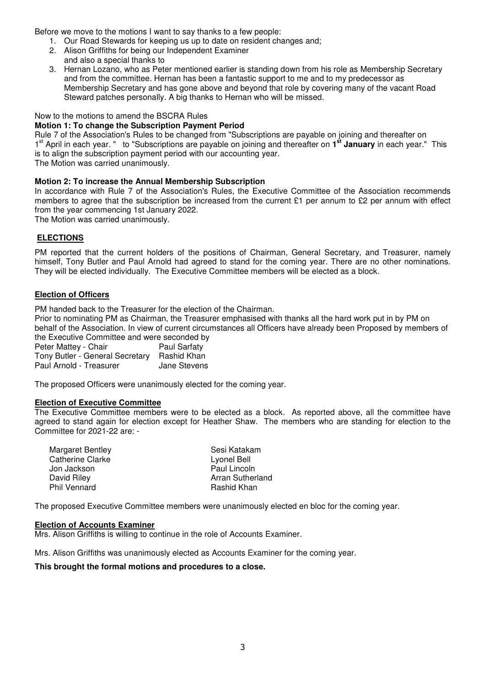Before we move to the motions I want to say thanks to a few people:

- 1. Our Road Stewards for keeping us up to date on resident changes and;
- 2. Alison Griffiths for being our Independent Examiner
- and also a special thanks to
- 3. Hernan Lozano, who as Peter mentioned earlier is standing down from his role as Membership Secretary and from the committee. Hernan has been a fantastic support to me and to my predecessor as Membership Secretary and has gone above and beyond that role by covering many of the vacant Road Steward patches personally. A big thanks to Hernan who will be missed.

## Now to the motions to amend the BSCRA Rules

#### **Motion 1: To change the Subscription Payment Period**

Rule 7 of the Association's Rules to be changed from "Subscriptions are payable on joining and thereafter on 1 st April in each year. " to "Subscriptions are payable on joining and thereafter on **1 st January** in each year." This is to align the subscription payment period with our accounting year.

The Motion was carried unanimously.

## **Motion 2: To increase the Annual Membership Subscription**

In accordance with Rule 7 of the Association's Rules, the Executive Committee of the Association recommends members to agree that the subscription be increased from the current £1 per annum to £2 per annum with effect from the year commencing 1st January 2022.

The Motion was carried unanimously.

## **ELECTIONS**

PM reported that the current holders of the positions of Chairman, General Secretary, and Treasurer, namely himself, Tony Butler and Paul Arnold had agreed to stand for the coming year. There are no other nominations. They will be elected individually. The Executive Committee members will be elected as a block.

## **Election of Officers**

PM handed back to the Treasurer for the election of the Chairman.

Prior to nominating PM as Chairman, the Treasurer emphasised with thanks all the hard work put in by PM on behalf of the Association. In view of current circumstances all Officers have already been Proposed by members of the Executive Committee and were seconded by<br>Peter Mattey - Chair<br>Paul Sarfaty

Peter Mattey - Chair Paul Sarfaty<br>Tony Butler - General Secretary Rashid Khan Tony Butler - General Secretary Rashid Khan Paul Arnold - Treasurer

The proposed Officers were unanimously elected for the coming year.

#### **Election of Executive Committee**

The Executive Committee members were to be elected as a block. As reported above, all the committee have agreed to stand again for election except for Heather Shaw. The members who are standing for election to the Committee for 2021-22 are: -

| Margaret Bentley    | Sesi Katakam     |
|---------------------|------------------|
| Catherine Clarke    | Lyonel Bell      |
| Jon Jackson         | Paul Lincoln     |
| David Riley         | Arran Sutherland |
| <b>Phil Vennard</b> | Rashid Khan      |

The proposed Executive Committee members were unanimously elected en bloc for the coming year.

#### **Election of Accounts Examiner**

Mrs. Alison Griffiths is willing to continue in the role of Accounts Examiner.

Mrs. Alison Griffiths was unanimously elected as Accounts Examiner for the coming year.

## **This brought the formal motions and procedures to a close.**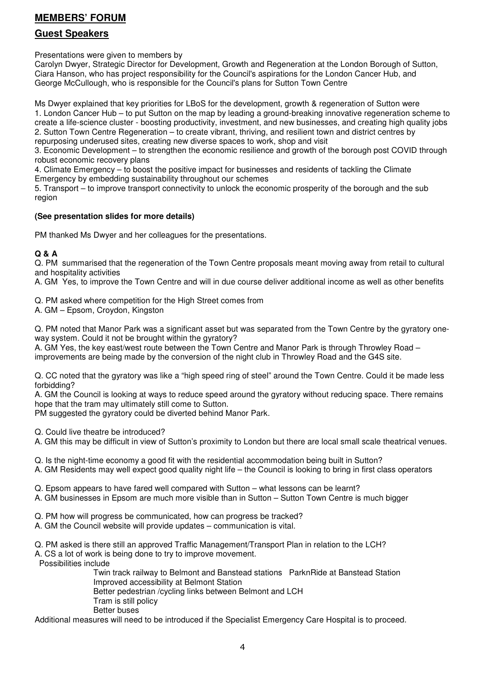# **MEMBERS' FORUM**

## **Guest Speakers**

Presentations were given to members by

Carolyn Dwyer, Strategic Director for Development, Growth and Regeneration at the London Borough of Sutton, Ciara Hanson, who has project responsibility for the Council's aspirations for the London Cancer Hub, and George McCullough, who is responsible for the Council's plans for Sutton Town Centre

Ms Dwyer explained that key priorities for LBoS for the development, growth & regeneration of Sutton were 1. London Cancer Hub – to put Sutton on the map by leading a ground-breaking innovative regeneration scheme to create a life-science cluster - boosting productivity, investment, and new businesses, and creating high quality jobs 2. Sutton Town Centre Regeneration – to create vibrant, thriving, and resilient town and district centres by repurposing underused sites, creating new diverse spaces to work, shop and visit

3. Economic Development – to strengthen the economic resilience and growth of the borough post COVID through robust economic recovery plans

4. Climate Emergency – to boost the positive impact for businesses and residents of tackling the Climate Emergency by embedding sustainability throughout our schemes

5. Transport – to improve transport connectivity to unlock the economic prosperity of the borough and the sub region

## **(See presentation slides for more details)**

PM thanked Ms Dwyer and her colleagues for the presentations.

## **Q & A**

Q. PM summarised that the regeneration of the Town Centre proposals meant moving away from retail to cultural and hospitality activities

A. GM Yes, to improve the Town Centre and will in due course deliver additional income as well as other benefits

Q. PM asked where competition for the High Street comes from

A. GM – Epsom, Croydon, Kingston

Q. PM noted that Manor Park was a significant asset but was separated from the Town Centre by the gyratory oneway system. Could it not be brought within the gyratory?

A. GM Yes, the key east/west route between the Town Centre and Manor Park is through Throwley Road – improvements are being made by the conversion of the night club in Throwley Road and the G4S site.

Q. CC noted that the gyratory was like a "high speed ring of steel" around the Town Centre. Could it be made less forbidding?

A. GM the Council is looking at ways to reduce speed around the gyratory without reducing space. There remains hope that the tram may ultimately still come to Sutton.

PM suggested the gyratory could be diverted behind Manor Park.

Q. Could live theatre be introduced?

A. GM this may be difficult in view of Sutton's proximity to London but there are local small scale theatrical venues.

Q. Is the night-time economy a good fit with the residential accommodation being built in Sutton?

A. GM Residents may well expect good quality night life – the Council is looking to bring in first class operators

Q. Epsom appears to have fared well compared with Sutton – what lessons can be learnt?

A. GM businesses in Epsom are much more visible than in Sutton – Sutton Town Centre is much bigger

Q. PM how will progress be communicated, how can progress be tracked?

A. GM the Council website will provide updates – communication is vital.

Q. PM asked is there still an approved Traffic Management/Transport Plan in relation to the LCH?

A. CS a lot of work is being done to try to improve movement.

Possibilities include

 Twin track railway to Belmont and Banstead stations ParknRide at Banstead Station Improved accessibility at Belmont Station Better pedestrian /cycling links between Belmont and LCH Tram is still policy

Better buses

Additional measures will need to be introduced if the Specialist Emergency Care Hospital is to proceed.